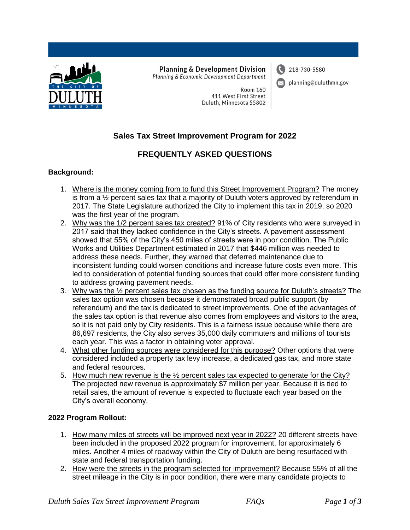

**Planning & Development Division** Planning & Economic Development Department



planning@duluthmn.gov

**Room 160** 411 West First Street Duluth, Minnesota 55802

## **Sales Tax Street Improvement Program for 2022**

# **FREQUENTLY ASKED QUESTIONS**

#### **Background:**

- 1. Where is the money coming from to fund this Street Improvement Program? The money is from a ½ percent sales tax that a majority of Duluth voters approved by referendum in 2017. The State Legislature authorized the City to implement this tax in 2019, so 2020 was the first year of the program.
- 2. Why was the 1/2 percent sales tax created? 91% of City residents who were surveyed in 2017 said that they lacked confidence in the City's streets. A pavement assessment showed that 55% of the City's 450 miles of streets were in poor condition. The Public Works and Utilities Department estimated in 2017 that \$446 million was needed to address these needs. Further, they warned that deferred maintenance due to inconsistent funding could worsen conditions and increase future costs even more. This led to consideration of potential funding sources that could offer more consistent funding to address growing pavement needs.
- 3. Why was the ½ percent sales tax chosen as the funding source for Duluth's streets? The sales tax option was chosen because it demonstrated broad public support (by referendum) and the tax is dedicated to street improvements. One of the advantages of the sales tax option is that revenue also comes from employees and visitors to the area, so it is not paid only by City residents. This is a fairness issue because while there are 86,697 residents, the City also serves 35,000 daily commuters and millions of tourists each year. This was a factor in obtaining voter approval.
- 4. What other funding sources were considered for this purpose? Other options that were considered included a property tax levy increase, a dedicated gas tax, and more state and federal resources.
- 5. How much new revenue is the  $\frac{1}{2}$  percent sales tax expected to generate for the City? The projected new revenue is approximately \$7 million per year. Because it is tied to retail sales, the amount of revenue is expected to fluctuate each year based on the City's overall economy.

## **2022 Program Rollout:**

- 1. How many miles of streets will be improved next year in 2022? 20 different streets have been included in the proposed 2022 program for improvement, for approximately 6 miles. Another 4 miles of roadway within the City of Duluth are being resurfaced with state and federal transportation funding.
- 2. How were the streets in the program selected for improvement? Because 55% of all the street mileage in the City is in poor condition, there were many candidate projects to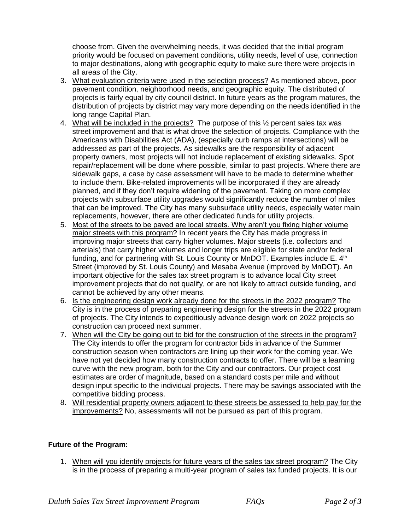choose from. Given the overwhelming needs, it was decided that the initial program priority would be focused on pavement conditions, utility needs, level of use, connection to major destinations, along with geographic equity to make sure there were projects in all areas of the City.

- 3. What evaluation criteria were used in the selection process? As mentioned above, poor pavement condition, neighborhood needs, and geographic equity. The distributed of projects is fairly equal by city council district. In future years as the program matures, the distribution of projects by district may vary more depending on the needs identified in the long range Capital Plan.
- 4. What will be included in the projects? The purpose of this ½ percent sales tax was street improvement and that is what drove the selection of projects. Compliance with the Americans with Disabilities Act (ADA), (especially curb ramps at intersections) will be addressed as part of the projects. As sidewalks are the responsibility of adjacent property owners, most projects will not include replacement of existing sidewalks. Spot repair/replacement will be done where possible, similar to past projects. Where there are sidewalk gaps, a case by case assessment will have to be made to determine whether to include them. Bike-related improvements will be incorporated if they are already planned, and if they don't require widening of the pavement. Taking on more complex projects with subsurface utility upgrades would significantly reduce the number of miles that can be improved. The City has many subsurface utility needs, especially water main replacements, however, there are other dedicated funds for utility projects.
- 5. Most of the streets to be paved are local streets. Why aren't you fixing higher volume major streets with this program? In recent years the City has made progress in improving major streets that carry higher volumes. Major streets (i.e. collectors and arterials) that carry higher volumes and longer trips are eligible for state and/or federal funding, and for partnering with St. Louis County or MnDOT. Examples include E.  $4<sup>th</sup>$ Street (improved by St. Louis County) and Mesaba Avenue (improved by MnDOT). An important objective for the sales tax street program is to advance local City street improvement projects that do not qualify, or are not likely to attract outside funding, and cannot be achieved by any other means.
- 6. Is the engineering design work already done for the streets in the 2022 program? The City is in the process of preparing engineering design for the streets in the 2022 program of projects. The City intends to expeditiously advance design work on 2022 projects so construction can proceed next summer.
- 7. When will the City be going out to bid for the construction of the streets in the program? The City intends to offer the program for contractor bids in advance of the Summer construction season when contractors are lining up their work for the coming year. We have not yet decided how many construction contracts to offer. There will be a learning curve with the new program, both for the City and our contractors. Our project cost estimates are order of magnitude, based on a standard costs per mile and without design input specific to the individual projects. There may be savings associated with the competitive bidding process.
- 8. Will residential property owners adjacent to these streets be assessed to help pay for the improvements? No, assessments will not be pursued as part of this program.

## **Future of the Program:**

1. When will you identify projects for future years of the sales tax street program? The City is in the process of preparing a multi-year program of sales tax funded projects. It is our